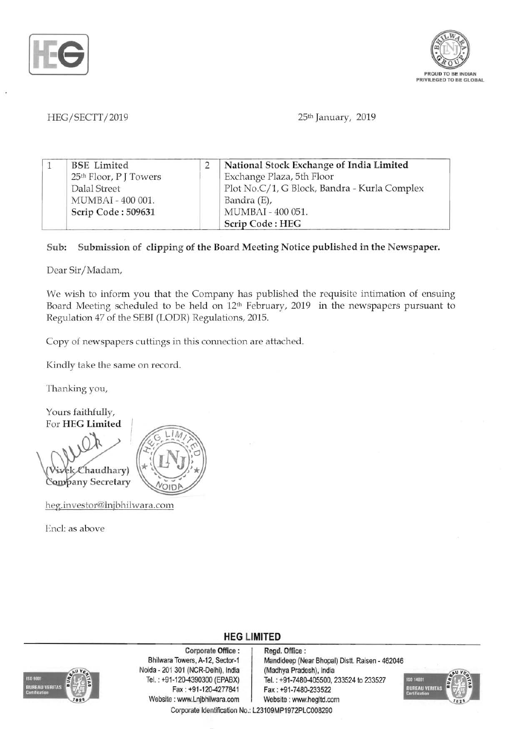



## HEG/SECTT/2019 25th January, 2019

| <b>BSE</b> Limited                 | National Stock Exchange of India Limited     |
|------------------------------------|----------------------------------------------|
| 25 <sup>th</sup> Floor, P J Towers | Exchange Plaza, 5th Floor                    |
| Dalal Street                       | Plot No.C/1, G Block, Bandra - Kurla Complex |
| MUMBAI - 400 001.                  | Bandra (E),                                  |
| Scrip Code: 509631                 | MUMBAI - 400 051.                            |
|                                    | Scrip Code: HEG                              |

## Sub: Submission of clipping of the Board Meeting Notice published in the Newspaper.

Dear Sir/Madam,

We wish to inform you that the Company has published the requisite intimation of ensuing Board Meeting scheduled to be held on 12<sup>th</sup> February, 2019 in the newspapers pursuant to Regulation 47 of the SEBI (LODR) Regulations, 2015.

Copy of newspapers cuttings in this connection are attached.

Kindly take the same on record.

Thanking you,

Yours faithfully, For HEG Limited

Chaudhary) Company Secretary



heg.investor@lnjbhilwara.com

End: as above



Corporate Office : Regd. Office :<br>Bhilwara Towers, A-12, Sector-1 Mandideep (Ne Noida - 201 301 (NCR-Delhi), India (Madhya Pradesh), India Website: www.Lnjbhilwara.com | Website: www.hegltd.com

Mandideep (Near Bhopal) Distt. Raisen - 462046 Tel. : +91-120-4390300 (EPABX)<br>Fax : +91-7480-405500, 233524 to 233527<br>Fax : +91-7480-233522 Fax: +91-7480-233522



Corporate Identification No.: L23109MP1972PLC008290

**HEG LIMITED**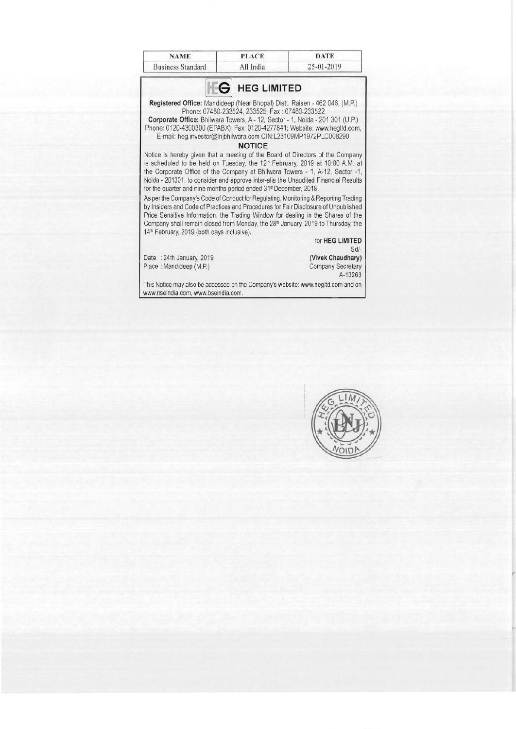| <b>NAME</b>              | <b>PLACE</b> | <b>DATE</b>      |
|--------------------------|--------------|------------------|
| <b>Business Standard</b> | All India    | $25 - 01 - 2019$ |



This Notice may also be accessed on the Company's website: www.hegltd.com and on www.nseindia.com, www.bseindia.com.